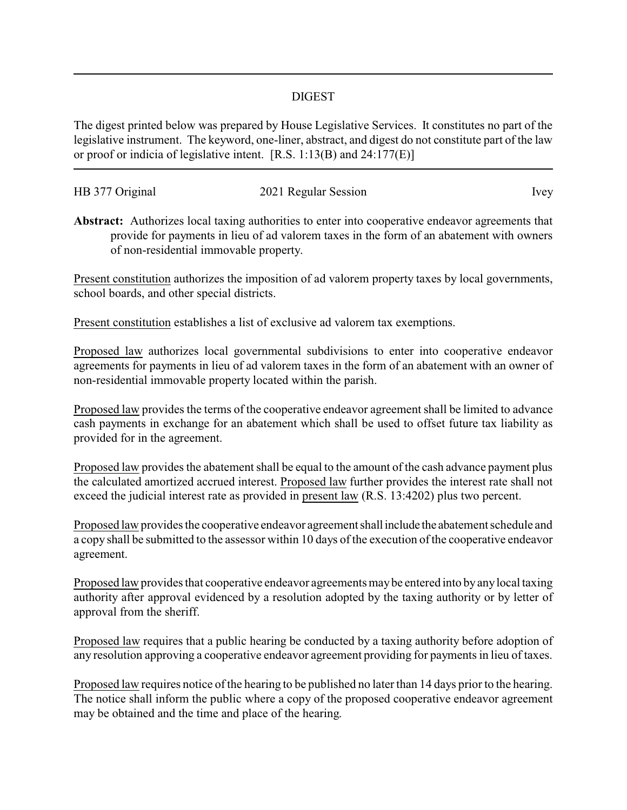## DIGEST

The digest printed below was prepared by House Legislative Services. It constitutes no part of the legislative instrument. The keyword, one-liner, abstract, and digest do not constitute part of the law or proof or indicia of legislative intent. [R.S. 1:13(B) and 24:177(E)]

| HB 377 Original | 2021 Regular Session | lvev |
|-----------------|----------------------|------|
|                 |                      |      |

**Abstract:** Authorizes local taxing authorities to enter into cooperative endeavor agreements that provide for payments in lieu of ad valorem taxes in the form of an abatement with owners of non-residential immovable property.

Present constitution authorizes the imposition of ad valorem property taxes by local governments, school boards, and other special districts.

Present constitution establishes a list of exclusive ad valorem tax exemptions.

Proposed law authorizes local governmental subdivisions to enter into cooperative endeavor agreements for payments in lieu of ad valorem taxes in the form of an abatement with an owner of non-residential immovable property located within the parish.

Proposed law provides the terms of the cooperative endeavor agreement shall be limited to advance cash payments in exchange for an abatement which shall be used to offset future tax liability as provided for in the agreement.

Proposed law provides the abatement shall be equal to the amount of the cash advance payment plus the calculated amortized accrued interest. Proposed law further provides the interest rate shall not exceed the judicial interest rate as provided in present law (R.S. 13:4202) plus two percent.

Proposed law provides the cooperative endeavor agreement shall include the abatement schedule and a copy shall be submitted to the assessor within 10 days of the execution of the cooperative endeavor agreement.

Proposed law provides that cooperative endeavor agreements may be entered into by any local taxing authority after approval evidenced by a resolution adopted by the taxing authority or by letter of approval from the sheriff.

Proposed law requires that a public hearing be conducted by a taxing authority before adoption of any resolution approving a cooperative endeavor agreement providing for payments in lieu of taxes.

Proposed law requires notice of the hearing to be published no later than 14 days prior to the hearing. The notice shall inform the public where a copy of the proposed cooperative endeavor agreement may be obtained and the time and place of the hearing.